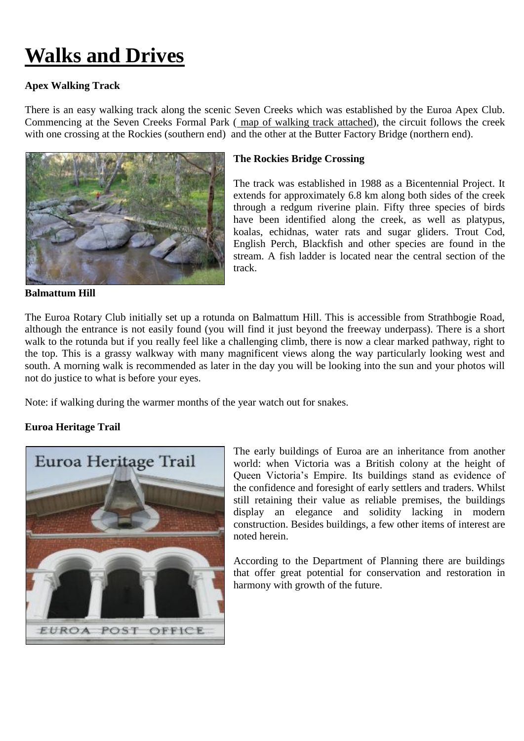# **Walks and Drives**

## **Apex Walking Track**

There is an easy walking track along the scenic Seven Creeks which was established by the Euroa Apex Club. Commencing at the Seven Creeks Formal Park ( [map of walking track](https://claire-hahnel.squarespace.com/static/50ab007be4b00ef29d01c972/50ab13e9e4b0b5c74a5fc623/50ab13e9e4b0b5c74a5fc627/1338512368597/1000w) attached), the circuit follows the creek with one crossing at the Rockies (southern end) and the other at the Butter Factory Bridge (northern end).



**Balmattum Hill**

#### **The Rockies Bridge Crossing**

The track was established in 1988 as a Bicentennial Project. It extends for approximately 6.8 km along both sides of the creek through a redgum riverine plain. Fifty three species of birds have been identified along the creek, as well as platypus, koalas, echidnas, water rats and sugar gliders. Trout Cod, English Perch, Blackfish and other species are found in the stream. A fish ladder is located near the central section of the track.

The Euroa Rotary Club initially set up a rotunda on Balmattum Hill. This is accessible from Strathbogie Road, although the entrance is not easily found (you will find it just beyond the freeway underpass). There is a short walk to the rotunda but if you really feel like a challenging climb, there is now a clear marked pathway, right to the top. This is a grassy walkway with many magnificent views along the way particularly looking west and south. A morning walk is recommended as later in the day you will be looking into the sun and your photos will not do justice to what is before your eyes.

Note: if walking during the warmer months of the year watch out for snakes.

#### **Euroa Heritage Trail**



The early buildings of Euroa are an inheritance from another world: when Victoria was a British colony at the height of Queen Victoria's Empire. Its buildings stand as evidence of the confidence and foresight of early settlers and traders. Whilst still retaining their value as reliable premises, the buildings display an elegance and solidity lacking in modern construction. Besides buildings, a few other items of interest are noted herein.

According to the Department of Planning there are buildings that offer great potential for conservation and restoration in harmony with growth of the future.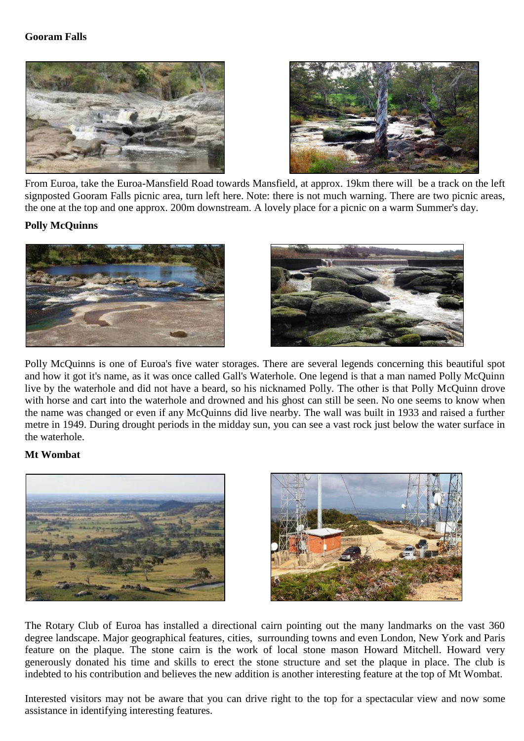### **Gooram Falls**





From Euroa, take the Euroa-Mansfield Road towards Mansfield, at approx. 19km there will be a track on the left signposted Gooram Falls picnic area, turn left here. Note: there is not much warning. There are two picnic areas, the one at the top and one approx. 200m downstream. A lovely place for a picnic on a warm Summer's day.

#### **Polly McQuinns**





Polly McQuinns is one of Euroa's five water storages. There are several legends concerning this beautiful spot and how it got it's name, as it was once called Gall's Waterhole. One legend is that a man named Polly McQuinn live by the waterhole and did not have a beard, so his nicknamed Polly. The other is that Polly McQuinn drove with horse and cart into the waterhole and drowned and his ghost can still be seen. No one seems to know when the name was changed or even if any McQuinns did live nearby. The wall was built in 1933 and raised a further metre in 1949. During drought periods in the midday sun, you can see a vast rock just below the water surface in the waterhole.

#### **Mt Wombat**





The Rotary Club of Euroa has installed a directional cairn pointing out the many landmarks on the vast 360 degree landscape. Major geographical features, cities, surrounding towns and even London, New York and Paris feature on the plaque. The stone cairn is the work of local stone mason Howard Mitchell. Howard very generously donated his time and skills to erect the stone structure and set the plaque in place. The club is indebted to his contribution and believes the new addition is another interesting feature at the top of Mt Wombat.

Interested visitors may not be aware that you can drive right to the top for a spectacular view and now some assistance in identifying interesting features.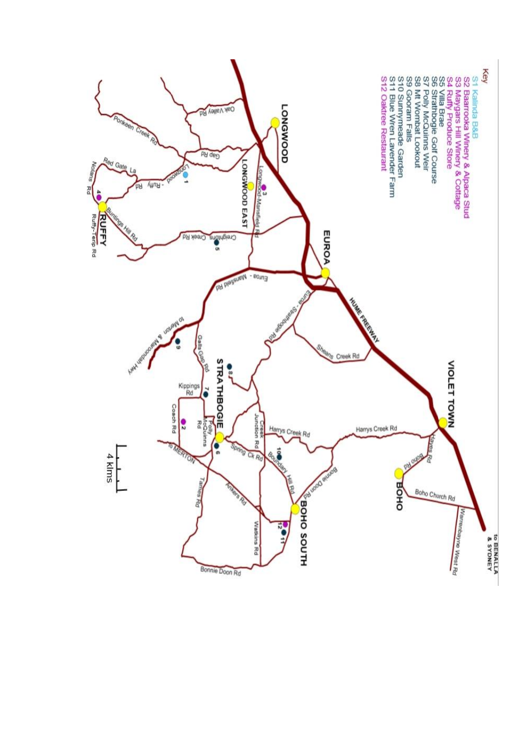